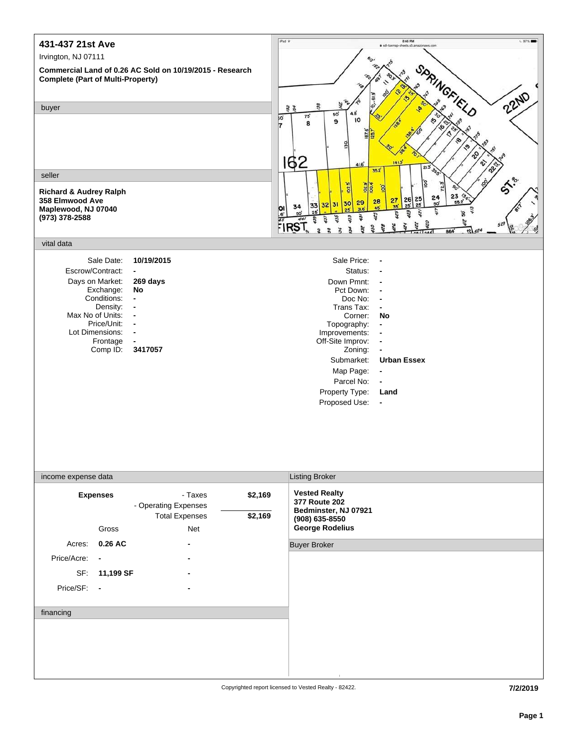#### 8:46 PM **431-437 21st Ave** Irvington, NJ 07111 SPRINGFIELD **Commercial Land of 0.26 AC Sold on 10/19/2015 - Research Complete (Part of Multi-Property)** 22ND buyer  $384$ 38  $75$ 砢  $\ddot{q}$  $\mathbf{a}$ 162 352 seller 025 004 **S**  $\tilde{8}$ **Richard & Audrey Ralph**  $2<sub>3</sub>$ 24 **358 Elmwood Ave** 26 29 28 27 30 32 31 34 33 **Maplewood, NJ 07040**  $\ddot{\mathbf{0}}$ 45 50 Ñ ö 429 **(973) 378-2588** Æ 433 **FIRST** 450 36 430 432 36 F vital data Sale Date: **10/19/2015** Sale Price: **-** Escrow/Contract: **-** Status: **-** Days on Market: **269 days** Down Pmnt: **-** Pct Down: **-** Exchange: **No** Conditions: **-** Doc No: **-** Density: Trans Tax: **-** Max No of Units: **-** Corner: Price/Unit: **-** Topography: **-** Lot Dimensions: Improvements: **- Frontage** Off-Site Improv: Comp ID: **3417057** Zoning: **-** Submarket: **Urban Essex** Map Page: **-** Parcel No: **-** Property Type: **Land** Proposed Use:  income expense data Listing Broker **Vested Realty \$2,169** Expenses **- Taxes 377 Route 202** - Operating Expenses **Bedminster, NJ 07921** Total Expenses **\$2,169 (908) 635-8550 George Rodelius** Gross Net Acres: **0.26 AC -** Buyer Broker Price/Acre: **- -** SF: **11,199 SF -** Price/SF: **-**  financing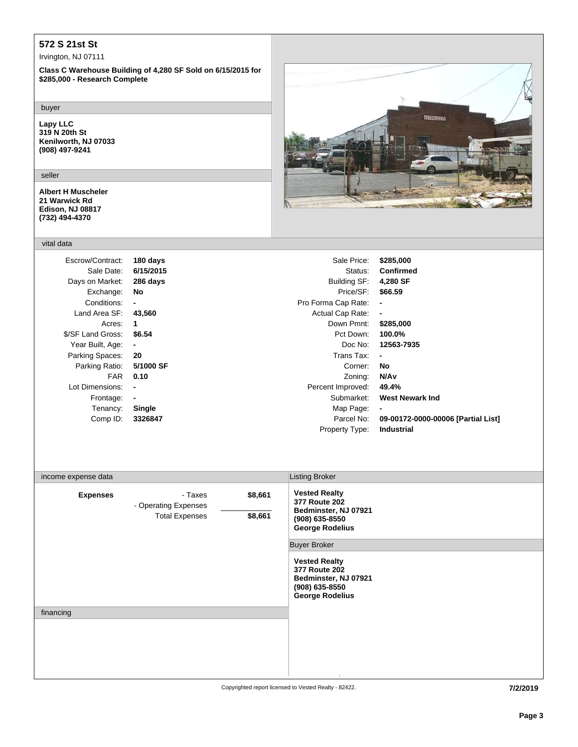### **572 S 21st St**

Irvington, NJ 07111

**Class C Warehouse Building of 4,280 SF Sold on 6/15/2015 for \$285,000 - Research Complete**

### buyer

**Lapy LLC 319 N 20th St Kenilworth, NJ 07033 (908) 497-9241**

### seller

**Albert H Muscheler 21 Warwick Rd Edison, NJ 08817 (732) 494-4370**

#### vital data



| Escrow/Contract:  | 180 days       | Sale Price:         | \$285,000                          |
|-------------------|----------------|---------------------|------------------------------------|
| Sale Date:        | 6/15/2015      | Status:             | <b>Confirmed</b>                   |
| Days on Market:   | 286 days       | Building SF:        | 4,280 SF                           |
| Exchange:         | No.            | Price/SF:           | \$66.59                            |
| Conditions:       | $\blacksquare$ | Pro Forma Cap Rate: | $\blacksquare$                     |
| Land Area SF:     | 43,560         | Actual Cap Rate:    | $\blacksquare$                     |
| Acres:            |                | Down Pmnt:          | \$285,000                          |
| \$/SF Land Gross: | \$6.54         | Pct Down:           | 100.0%                             |
| Year Built, Age:  | $\blacksquare$ | Doc No:             | 12563-7935                         |
| Parking Spaces:   | 20             | Trans Tax:          | $\blacksquare$                     |
| Parking Ratio:    | 5/1000 SF      | Corner:             | No                                 |
| <b>FAR</b>        | 0.10           | Zoning:             | N/Av                               |
| Lot Dimensions:   | $\blacksquare$ | Percent Improved:   | 49.4%                              |
| Frontage:         | $\blacksquare$ | Submarket:          | West Newark Ind                    |
| Tenancy:          | Single         | Map Page:           | $\blacksquare$                     |
| Comp ID:          | 3326847        | Parcel No:          | 09-00172-0000-00006 [Partial List] |
|                   |                | Property Type:      | <b>Industrial</b>                  |

| income expense data |                                                          |                    | <b>Listing Broker</b>                                                                                                            |
|---------------------|----------------------------------------------------------|--------------------|----------------------------------------------------------------------------------------------------------------------------------|
| <b>Expenses</b>     | - Taxes<br>- Operating Expenses<br><b>Total Expenses</b> | \$8,661<br>\$8,661 | <b>Vested Realty</b><br>377 Route 202<br>Bedminster, NJ 07921<br>(908) 635-8550<br><b>George Rodelius</b><br><b>Buyer Broker</b> |
|                     |                                                          |                    | <b>Vested Realty</b><br>377 Route 202<br>Bedminster, NJ 07921<br>(908) 635-8550<br><b>George Rodelius</b>                        |
| financing           |                                                          |                    |                                                                                                                                  |
|                     |                                                          |                    |                                                                                                                                  |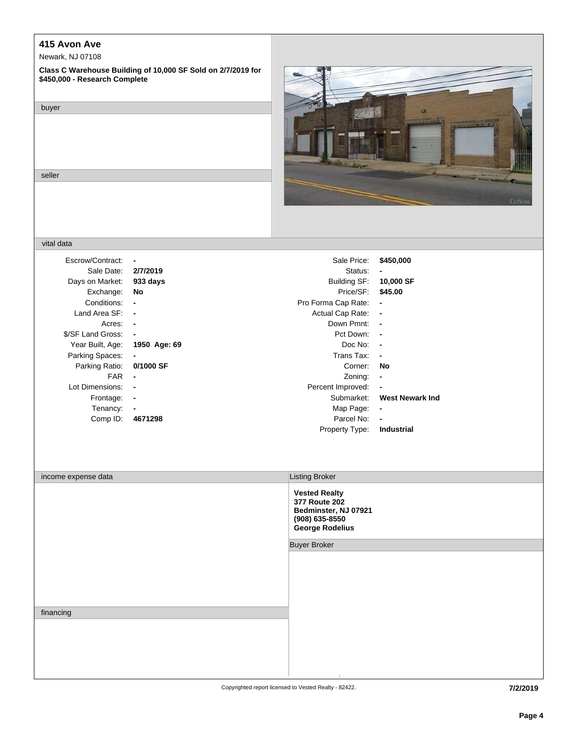## **415 Avon Ave**

Newark, NJ 07108

buyer

seller

**Class C Warehouse Building of 10,000 SF Sold on 2/7/2019 for \$450,000 - Research Complete**



#### vital data

| Escrow/Contract:  |                          | Sale Price:         | \$450,000                    |
|-------------------|--------------------------|---------------------|------------------------------|
| Sale Date:        | 2/7/2019                 | Status:             | -                            |
| Days on Market:   | 933 days                 | Building SF:        | 10,000 SF                    |
| Exchange:         | No.                      | Price/SF:           | \$45.00                      |
| Conditions:       | $\overline{\phantom{a}}$ | Pro Forma Cap Rate: | -                            |
| Land Area SF:     | $\sim$                   | Actual Cap Rate:    | $\blacksquare$               |
| Acres:            | $\sim$                   | Down Pmnt:          | $\blacksquare$               |
| \$/SF Land Gross: | $\blacksquare$           | Pct Down:           | $\blacksquare$               |
| Year Built, Age:  | 1950 Age: 69             | Doc No:             | $\blacksquare$               |
| Parking Spaces:   |                          | Trans Tax:          | $\overline{\phantom{a}}$     |
| Parking Ratio:    | 0/1000 SF                | Corner:             | No                           |
| <b>FAR</b>        | $\overline{\phantom{a}}$ | Zoning:             | $\qquad \qquad \blacksquare$ |
| Lot Dimensions:   |                          | Percent Improved:   | -                            |
| Frontage:         | $\blacksquare$           | Submarket:          | <b>West Newark Ind</b>       |
| Tenancy:          | $\sim$                   | Map Page:           |                              |
| Comp ID:          | 4671298                  | Parcel No:          | $\qquad \qquad \blacksquare$ |
|                   |                          | Property Type:      | <b>Industrial</b>            |
|                   |                          |                     |                              |

| income expense data | <b>Listing Broker</b>                                                                              |
|---------------------|----------------------------------------------------------------------------------------------------|
|                     | <b>Vested Realty</b><br>377 Route 202<br>Bedminster, NJ 07921<br>(908) 635-8550<br>George Rodelius |
|                     | <b>Buyer Broker</b>                                                                                |
|                     |                                                                                                    |
|                     |                                                                                                    |
|                     |                                                                                                    |
|                     |                                                                                                    |
| financing           |                                                                                                    |
|                     |                                                                                                    |
|                     |                                                                                                    |
|                     |                                                                                                    |
|                     | $\pm$                                                                                              |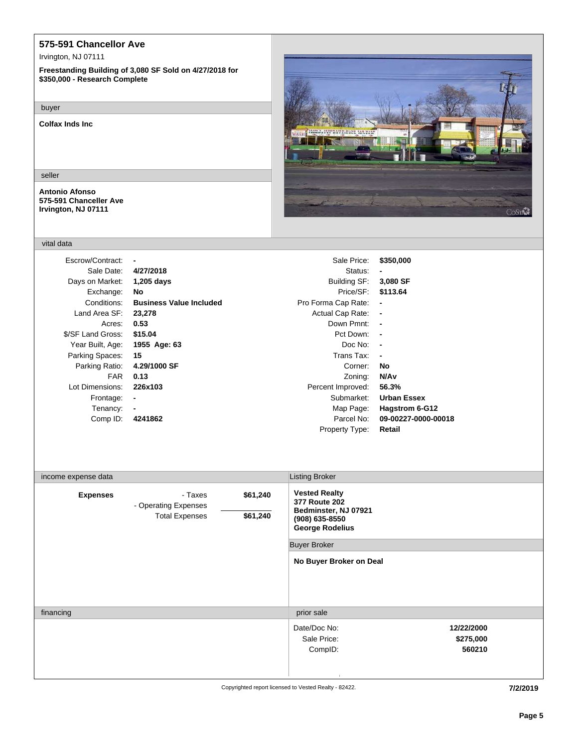### **575-591 Chancellor Ave**

Irvington, NJ 07111

**Freestanding Building of 3,080 SF Sold on 4/27/2018 for \$350,000 - Research Complete**

buyer

**Colfax Inds Inc**

seller

**Antonio Afonso 575-591 Chanceller Ave Irvington, NJ 07111**

### vital data



| Escrow/Contract:  |                                | Sale Price:         | \$350,000                    |
|-------------------|--------------------------------|---------------------|------------------------------|
| Sale Date:        | 4/27/2018                      | Status:             | $\blacksquare$               |
| Days on Market:   | 1,205 days                     | Building SF:        | 3,080 SF                     |
| Exchange:         | No                             | Price/SF:           | \$113.64                     |
| Conditions:       | <b>Business Value Included</b> | Pro Forma Cap Rate: | $\qquad \qquad \blacksquare$ |
| Land Area SF:     | 23,278                         | Actual Cap Rate:    | $\blacksquare$               |
| Acres:            | 0.53                           | Down Pmnt:          | $\blacksquare$               |
| \$/SF Land Gross: | \$15.04                        | Pct Down:           | $\blacksquare$               |
| Year Built, Age:  | 1955 Age: 63                   | Doc No:             | $\overline{\phantom{a}}$     |
| Parking Spaces:   | 15                             | Trans Tax:          | $\blacksquare$               |
| Parking Ratio:    | 4.29/1000 SF                   | Corner:             | <b>No</b>                    |
| <b>FAR</b>        | 0.13                           | Zoning:             | N/A <sub>v</sub>             |
| Lot Dimensions:   | 226x103                        | Percent Improved:   | 56.3%                        |
| Frontage:         | $\blacksquare$                 | Submarket:          | <b>Urban Essex</b>           |
| Tenancy:          | $\blacksquare$                 | Map Page:           | Hagstrom 6-G12               |
| Comp ID:          | 4241862                        | Parcel No:          | 09-00227-0000-00018          |
|                   |                                | Property Type:      | Retail                       |
|                   |                                |                     |                              |

| income expense data | <b>Listing Broker</b>                                                            |  |                                                                                                           |                                   |
|---------------------|----------------------------------------------------------------------------------|--|-----------------------------------------------------------------------------------------------------------|-----------------------------------|
| <b>Expenses</b>     | \$61,240<br>- Taxes<br>- Operating Expenses<br>\$61,240<br><b>Total Expenses</b> |  | <b>Vested Realty</b><br>377 Route 202<br>Bedminster, NJ 07921<br>(908) 635-8550<br><b>George Rodelius</b> |                                   |
|                     |                                                                                  |  | <b>Buyer Broker</b>                                                                                       |                                   |
|                     |                                                                                  |  | No Buyer Broker on Deal                                                                                   |                                   |
| financing           |                                                                                  |  | prior sale                                                                                                |                                   |
|                     |                                                                                  |  | Date/Doc No:<br>Sale Price:<br>CompID:<br><b>COLLEGE</b>                                                  | 12/22/2000<br>\$275,000<br>560210 |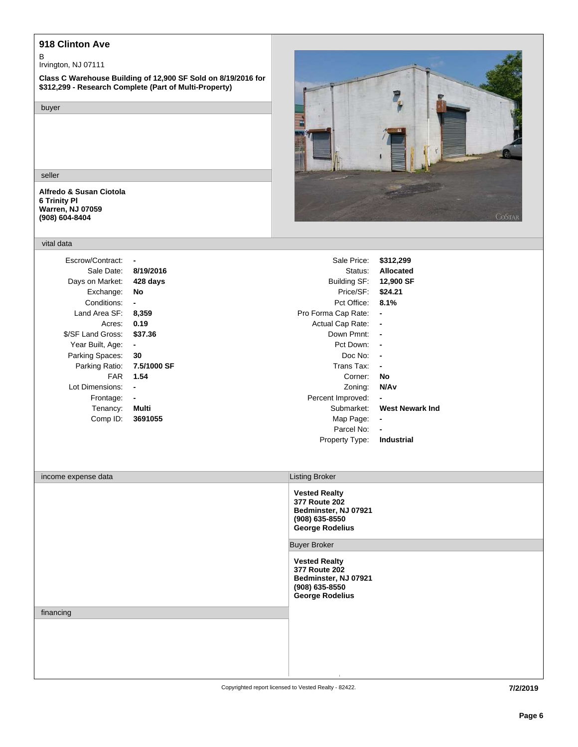## **918 Clinton Ave**

#### B Irvington, NJ 07111

**Class C Warehouse Building of 12,900 SF Sold on 8/19/2016 for \$312,299 - Research Complete (Part of Multi-Property)**

buyer



seller

**Alfredo & Susan Ciotola 6 Trinity Pl Warren, NJ 07059 (908) 604-8404**

#### vital data

| Escrow/Contract:  |                | Sale Price:         | \$312,299                    |
|-------------------|----------------|---------------------|------------------------------|
| Sale Date:        | 8/19/2016      | Status:             | <b>Allocated</b>             |
| Days on Market:   | 428 days       | Building SF:        | 12,900 SF                    |
| Exchange:         | No             | Price/SF:           | \$24.21                      |
| Conditions:       |                | Pct Office:         | 8.1%                         |
| Land Area SF:     | 8,359          | Pro Forma Cap Rate: | $\qquad \qquad \blacksquare$ |
| Acres:            | 0.19           | Actual Cap Rate:    | $\blacksquare$               |
| \$/SF Land Gross: | \$37.36        | Down Pmnt:          | $\blacksquare$               |
| Year Built, Age:  | $\blacksquare$ | Pct Down:           | $\blacksquare$               |
| Parking Spaces:   | 30             | Doc No:             | $\blacksquare$               |
| Parking Ratio:    | 7.5/1000 SF    | Trans Tax:          | $\blacksquare$               |
| <b>FAR</b>        | 1.54           | Corner:             | No                           |
| Lot Dimensions:   | $\blacksquare$ | Zoning:             | N/Av                         |
| Frontage:         | $\blacksquare$ | Percent Improved:   | $\overline{\phantom{a}}$     |
| Tenancy:          | Multi          | Submarket:          | <b>West Newark Ind</b>       |
| Comp ID:          | 3691055        | Map Page:           | $\blacksquare$               |
|                   |                | Parcel No:          | $\overline{\phantom{a}}$     |
|                   |                | Property Type:      | Industrial                   |
|                   |                |                     |                              |

| income expense data | <b>Listing Broker</b>                                                                                     |
|---------------------|-----------------------------------------------------------------------------------------------------------|
|                     | <b>Vested Realty</b><br>377 Route 202<br>Bedminster, NJ 07921<br>(908) 635-8550<br><b>George Rodelius</b> |
|                     | <b>Buyer Broker</b>                                                                                       |
|                     | <b>Vested Realty</b><br>377 Route 202<br>Bedminster, NJ 07921<br>(908) 635-8550<br><b>George Rodelius</b> |
| financing           |                                                                                                           |
|                     | л.                                                                                                        |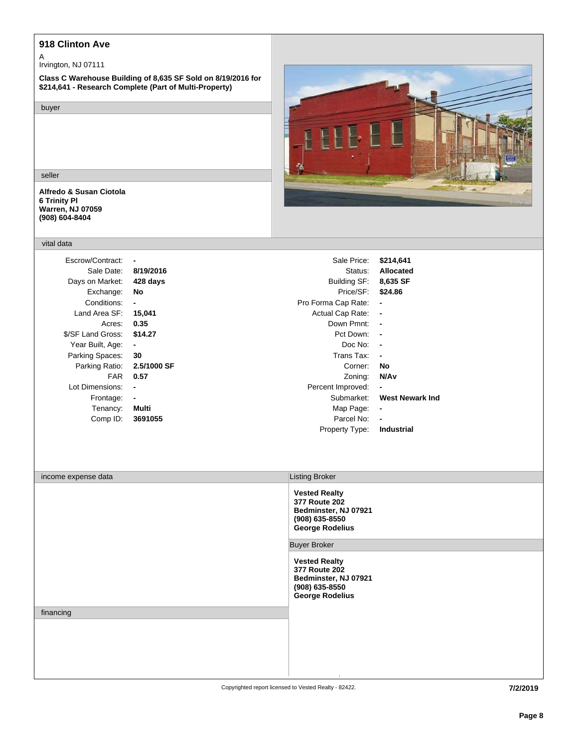## **918 Clinton Ave**

# A

Irvington, NJ 07111

**Class C Warehouse Building of 8,635 SF Sold on 8/19/2016 for \$214,641 - Research Complete (Part of Multi-Property)**

buyer



seller

**Alfredo & Susan Ciotola 6 Trinity Pl Warren, NJ 07059 (908) 604-8404**

### vital data

| $\blacksquare$ | Sale Price:                 | \$214,641<br>Allocated   |
|----------------|-----------------------------|--------------------------|
|                |                             |                          |
|                |                             | 8,635 SF                 |
|                | Price/SF:                   | \$24.86                  |
| $\blacksquare$ | Pro Forma Cap Rate:         | $\blacksquare$           |
| 15,041         | Actual Cap Rate:            |                          |
| 0.35           | Down Pmnt:                  |                          |
| \$14.27        | Pct Down:                   | $\overline{\phantom{a}}$ |
|                | Doc No:                     | $\overline{\phantom{a}}$ |
| 30             | Trans Tax:                  | $\blacksquare$           |
| 2.5/1000 SF    | Corner:                     | No                       |
| 0.57           | Zoning:                     | N/Av                     |
| -              | Percent Improved:           |                          |
|                | Submarket:                  | <b>West Newark Ind</b>   |
| Multi          | Map Page:                   | $\blacksquare$           |
| 3691055        | Parcel No:                  | $\blacksquare$           |
|                | Property Type:              | <b>Industrial</b>        |
|                | 8/19/2016<br>428 days<br>No | Status:<br>Building SF:  |

| income expense data | <b>Listing Broker</b>                                                                                     |
|---------------------|-----------------------------------------------------------------------------------------------------------|
|                     | <b>Vested Realty</b><br>377 Route 202<br>Bedminster, NJ 07921<br>(908) 635-8550<br><b>George Rodelius</b> |
|                     | <b>Buyer Broker</b>                                                                                       |
|                     | <b>Vested Realty</b><br>377 Route 202<br>Bedminster, NJ 07921<br>(908) 635-8550<br><b>George Rodelius</b> |
| financing           |                                                                                                           |
|                     | л.                                                                                                        |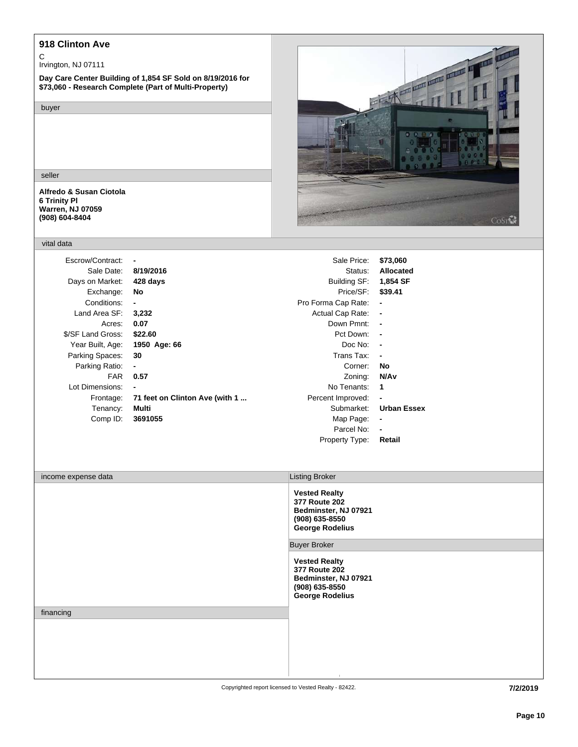## **918 Clinton Ave**

#### C

#### Irvington, NJ 07111

**Day Care Center Building of 1,854 SF Sold on 8/19/2016 for \$73,060 - Research Complete (Part of Multi-Property)**

buyer



**6 Trinity Pl Warren, NJ 07059 (908) 604-8404**

seller

**Alfredo & Susan Ciotola**

| vital data        |                                |                     |                          |
|-------------------|--------------------------------|---------------------|--------------------------|
| Escrow/Contract:  |                                | Sale Price:         | \$73,060                 |
| Sale Date:        | 8/19/2016                      | Status:             | Allocated                |
| Days on Market:   | 428 days                       | Building SF:        | 1,854 SF                 |
| Exchange:         | No                             | Price/SF:           | \$39.41                  |
| Conditions:       | -                              | Pro Forma Cap Rate: | Ĭ.                       |
| Land Area SF:     | 3,232                          | Actual Cap Rate:    | $\overline{\phantom{a}}$ |
| Acres:            | 0.07                           | Down Pmnt:          |                          |
| \$/SF Land Gross: | \$22.60                        | Pct Down:           |                          |
| Year Built, Age:  | 1950 Age: 66                   | Doc No:             | $\blacksquare$           |
| Parking Spaces:   | 30                             | Trans Tax:          | $\blacksquare$           |
| Parking Ratio:    | $\blacksquare$                 | Corner:             | No                       |
| <b>FAR</b>        | 0.57                           | Zoning:             | N/A <sub>v</sub>         |
| Lot Dimensions:   | -                              | No Tenants:         | $\mathbf 1$              |
| Frontage:         | 71 feet on Clinton Ave (with 1 | Percent Improved:   | $\overline{\phantom{a}}$ |
| Tenancy:          | Multi                          | Submarket:          | <b>Urban Essex</b>       |
| Comp ID:          | 3691055                        | Map Page:           | $\overline{\phantom{a}}$ |
|                   |                                | Parcel No:          | $\blacksquare$           |
|                   |                                | Property Type:      | Retail                   |

| income expense data | <b>Listing Broker</b>                                                                                     |
|---------------------|-----------------------------------------------------------------------------------------------------------|
|                     | <b>Vested Realty</b><br>377 Route 202<br>Bedminster, NJ 07921<br>(908) 635-8550<br><b>George Rodelius</b> |
|                     | <b>Buyer Broker</b>                                                                                       |
|                     | <b>Vested Realty</b><br>377 Route 202<br>Bedminster, NJ 07921<br>(908) 635-8550<br><b>George Rodelius</b> |
| financing           |                                                                                                           |
|                     |                                                                                                           |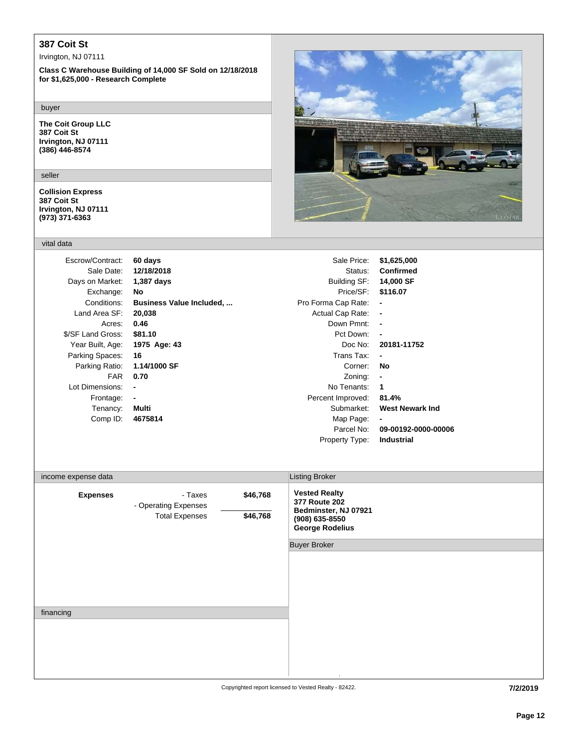### **387 Coit St**

Irvington, NJ 07111

**Class C Warehouse Building of 14,000 SF Sold on 12/18/2018 for \$1,625,000 - Research Complete**

### buyer

**The Coit Group LLC 387 Coit St Irvington, NJ 07111 (386) 446-8574**

#### seller

**Collision Express 387 Coit St Irvington, NJ 07111 (973) 371-6363**

### vital data



| Escrow/Contract:  | 60 days                          | Sale Price:         | \$1,625,000            |
|-------------------|----------------------------------|---------------------|------------------------|
| Sale Date:        | 12/18/2018                       | Status:             | <b>Confirmed</b>       |
| Days on Market:   | 1,387 days                       | Building SF:        | 14,000 SF              |
| Exchange:         | No                               | Price/SF:           | \$116.07               |
| Conditions:       | <b>Business Value Included, </b> | Pro Forma Cap Rate: |                        |
| Land Area SF:     | 20,038                           | Actual Cap Rate:    |                        |
| Acres:            | 0.46                             | Down Pmnt:          | $\blacksquare$         |
| \$/SF Land Gross: | \$81.10                          | Pct Down:           | $\blacksquare$         |
| Year Built, Age:  | 1975 Age: 43                     | Doc No:             | 20181-11752            |
| Parking Spaces:   | 16                               | Trans Tax:          | $\blacksquare$         |
| Parking Ratio:    | 1.14/1000 SF                     | Corner:             | No                     |
| <b>FAR</b>        | 0.70                             | Zoning:             | $\blacksquare$         |
| Lot Dimensions:   | $\blacksquare$                   | No Tenants:         | 1                      |
| Frontage:         | -                                | Percent Improved:   | 81.4%                  |
| Tenancy:          | Multi                            | Submarket:          | <b>West Newark Ind</b> |
| Comp ID:          | 4675814                          | Map Page:           |                        |
|                   |                                  | Parcel No:          | 09-00192-0000-00006    |
|                   |                                  | Property Type:      | <b>Industrial</b>      |

# income expense data **\$46,768 \$46,768** Total Expenses - Operating Expenses Expenses **- Taxes** Listing Broker **Vested Realty 377 Route 202 Bedminster, NJ 07921 (908) 635-8550 George Rodelius** Buyer Broker financing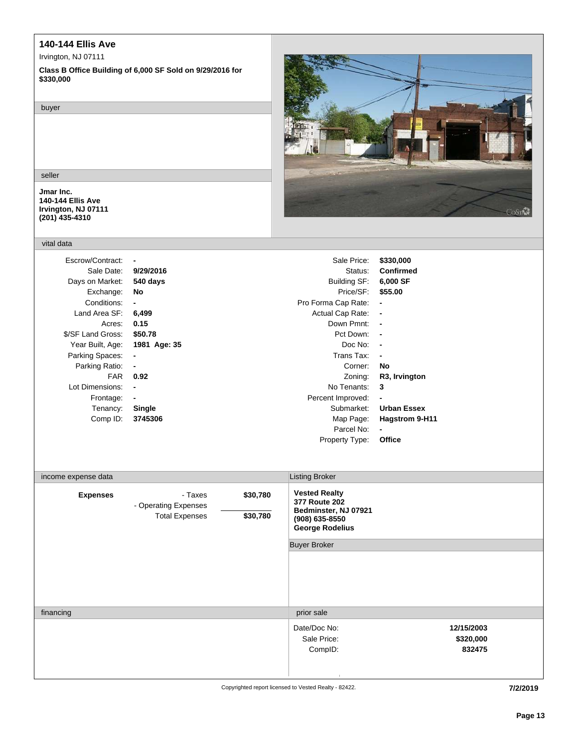### **140-144 Ellis Ave**

Irvington, NJ 07111

**Class B Office Building of 6,000 SF Sold on 9/29/2016 for \$330,000**

buyer



seller

**Jmar Inc. 140-144 Ellis Ave Irvington, NJ 07111 (201) 435-4310**

### vital data

| Escrow/Contract:<br>Sale Date:<br>Days on Market:<br>Exchange:<br>Conditions:<br>Land Area SF:<br>Acres:<br>\$/SF Land Gross:<br>Year Built, Age:<br>Parking Spaces:<br>Parking Ratio:<br><b>FAR</b><br>Lot Dimensions:<br>Frontage:<br>Tenancy:<br>Comp ID: | 9/29/2016<br>540 days<br>No<br>6,499<br>0.15<br>\$50.78<br>1981 Age: 35<br>0.92<br>Single<br>3745306 | Sale Price:<br>Status:<br>Building SF:<br>Price/SF:<br>Pro Forma Cap Rate:<br>Actual Cap Rate:<br>Down Pmnt:<br>Pct Down:<br>Doc No:<br>Trans Tax:<br>Corner:<br>Zoning:<br>No Tenants:<br>Percent Improved:<br>Submarket:<br>Map Page:<br>Parcel No: | \$330,000<br><b>Confirmed</b><br>6,000 SF<br>\$55.00<br>٠<br>٠<br>$\blacksquare$<br>$\blacksquare$<br>$\blacksquare$<br>No<br>R <sub>3</sub> , Irvington<br>3<br>٠<br>Urban Essex<br><b>Hagstrom 9-H11</b><br>$\blacksquare$ |
|--------------------------------------------------------------------------------------------------------------------------------------------------------------------------------------------------------------------------------------------------------------|------------------------------------------------------------------------------------------------------|-------------------------------------------------------------------------------------------------------------------------------------------------------------------------------------------------------------------------------------------------------|------------------------------------------------------------------------------------------------------------------------------------------------------------------------------------------------------------------------------|
|                                                                                                                                                                                                                                                              |                                                                                                      | Property Type:                                                                                                                                                                                                                                        | Office                                                                                                                                                                                                                       |

| income expense data |                                                          |                      | <b>Listing Broker</b>                                                                                     |                                   |
|---------------------|----------------------------------------------------------|----------------------|-----------------------------------------------------------------------------------------------------------|-----------------------------------|
| <b>Expenses</b>     | - Taxes<br>- Operating Expenses<br><b>Total Expenses</b> | \$30,780<br>\$30,780 | <b>Vested Realty</b><br>377 Route 202<br>Bedminster, NJ 07921<br>(908) 635-8550<br><b>George Rodelius</b> |                                   |
|                     |                                                          |                      | <b>Buyer Broker</b>                                                                                       |                                   |
|                     |                                                          |                      |                                                                                                           |                                   |
| financing           |                                                          |                      | prior sale                                                                                                |                                   |
|                     |                                                          |                      | Date/Doc No:<br>Sale Price:<br>CompID:                                                                    | 12/15/2003<br>\$320,000<br>832475 |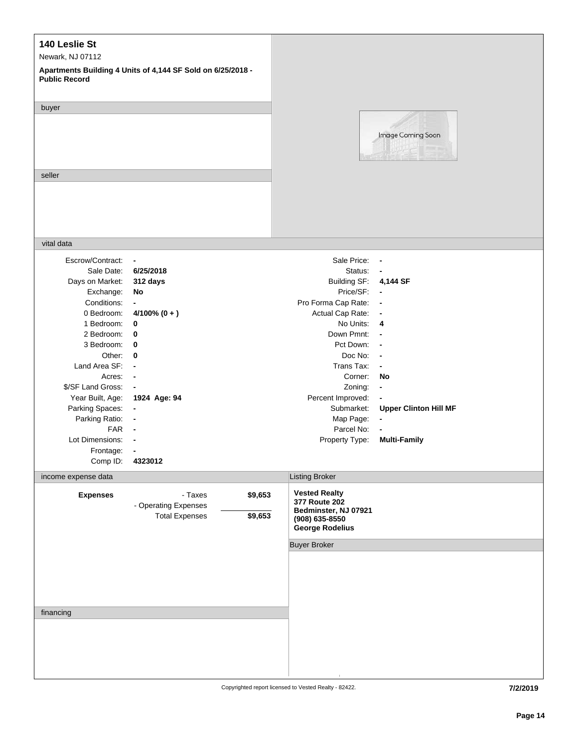| 140 Leslie St<br>Newark, NJ 07112<br>Apartments Building 4 Units of 4,144 SF Sold on 6/25/2018 -<br><b>Public Record</b><br>buyer<br>seller                                                                                                                                                                        |                                                                                                                                                                                                                                                                                                                   |                    |                                                                                                                                                                                                                                                                       | Image Coming Soon                                                                                                                                                                                                                                                                                                                                                         |
|--------------------------------------------------------------------------------------------------------------------------------------------------------------------------------------------------------------------------------------------------------------------------------------------------------------------|-------------------------------------------------------------------------------------------------------------------------------------------------------------------------------------------------------------------------------------------------------------------------------------------------------------------|--------------------|-----------------------------------------------------------------------------------------------------------------------------------------------------------------------------------------------------------------------------------------------------------------------|---------------------------------------------------------------------------------------------------------------------------------------------------------------------------------------------------------------------------------------------------------------------------------------------------------------------------------------------------------------------------|
| vital data                                                                                                                                                                                                                                                                                                         |                                                                                                                                                                                                                                                                                                                   |                    |                                                                                                                                                                                                                                                                       |                                                                                                                                                                                                                                                                                                                                                                           |
| Escrow/Contract:<br>Sale Date:<br>Days on Market:<br>Exchange:<br>Conditions:<br>0 Bedroom:<br>1 Bedroom:<br>2 Bedroom:<br>3 Bedroom:<br>Other:<br>Land Area SF:<br>Acres:<br>\$/SF Land Gross:<br>Year Built, Age:<br>Parking Spaces:<br>Parking Ratio:<br><b>FAR</b><br>Lot Dimensions:<br>Frontage:<br>Comp ID: | $\blacksquare$<br>6/25/2018<br>312 days<br>No<br>$\overline{\phantom{a}}$<br>$4/100\%$ (0 + )<br>$\bf{0}$<br>0<br>0<br>0<br>$\overline{\phantom{a}}$<br>$\overline{\phantom{a}}$<br>$\overline{\phantom{a}}$<br>1924 Age: 94<br>$\overline{\phantom{a}}$<br>$\overline{\phantom{a}}$<br>$\blacksquare$<br>4323012 |                    | Sale Price:<br>Status:<br>Building SF:<br>Price/SF:<br>Pro Forma Cap Rate:<br>Actual Cap Rate:<br>No Units:<br>Down Pmnt:<br>Pct Down:<br>Doc No:<br>Trans Tax:<br>Corner:<br>Zoning:<br>Percent Improved:<br>Submarket:<br>Map Page:<br>Parcel No:<br>Property Type: | $\blacksquare$<br>$\overline{\phantom{a}}$<br>4,144 SF<br>$\overline{\phantom{a}}$<br>$\qquad \qquad \blacksquare$<br>4<br>$\blacksquare$<br>٠<br>$\overline{\phantom{a}}$<br>$\overline{\phantom{a}}$<br>No<br>$\overline{\phantom{a}}$<br>$\overline{\phantom{a}}$<br><b>Upper Clinton Hill MF</b><br>$\blacksquare$<br>$\overline{\phantom{a}}$<br><b>Multi-Family</b> |
| income expense data                                                                                                                                                                                                                                                                                                |                                                                                                                                                                                                                                                                                                                   |                    | <b>Listing Broker</b>                                                                                                                                                                                                                                                 |                                                                                                                                                                                                                                                                                                                                                                           |
| <b>Expenses</b>                                                                                                                                                                                                                                                                                                    | - Taxes<br>- Operating Expenses<br><b>Total Expenses</b>                                                                                                                                                                                                                                                          | \$9,653<br>\$9,653 | <b>Vested Realty</b><br>377 Route 202<br>Bedminster, NJ 07921<br>(908) 635-8550<br><b>George Rodelius</b><br><b>Buyer Broker</b>                                                                                                                                      |                                                                                                                                                                                                                                                                                                                                                                           |
| financing                                                                                                                                                                                                                                                                                                          |                                                                                                                                                                                                                                                                                                                   |                    |                                                                                                                                                                                                                                                                       |                                                                                                                                                                                                                                                                                                                                                                           |
|                                                                                                                                                                                                                                                                                                                    |                                                                                                                                                                                                                                                                                                                   |                    | $\mathbb{R}^n$                                                                                                                                                                                                                                                        |                                                                                                                                                                                                                                                                                                                                                                           |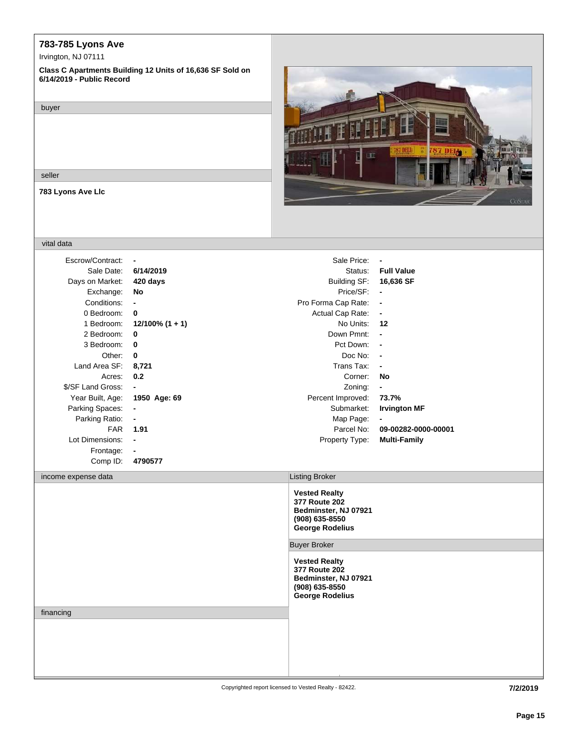# **783-785 Lyons Ave**

Irvington, NJ 07111

**Class C Apartments Building 12 Units of 16,636 SF Sold on 6/14/2019 - Public Record**



seller

vital data

buyer

**783 Lyons Ave Llc**

| Escrow/Contract:    | $\blacksquare$           | Sale Price:                                                                                               | $\blacksquare$      |
|---------------------|--------------------------|-----------------------------------------------------------------------------------------------------------|---------------------|
| Sale Date:          | 6/14/2019                | Status:                                                                                                   | <b>Full Value</b>   |
| Days on Market:     | 420 days                 | Building SF:                                                                                              | 16,636 SF           |
| Exchange:           | No                       | Price/SF:                                                                                                 | $\blacksquare$      |
| Conditions:         | $\overline{\phantom{a}}$ | Pro Forma Cap Rate:                                                                                       | $\blacksquare$      |
| 0 Bedroom:          | $\bf{0}$                 | Actual Cap Rate:                                                                                          | $\blacksquare$      |
| 1 Bedroom:          | $12/100\%$ (1 + 1)       | No Units:                                                                                                 | 12                  |
| 2 Bedroom:          | 0                        | Down Pmnt:                                                                                                | $\overline{a}$      |
| 3 Bedroom:          | $\bf{0}$                 | Pct Down:                                                                                                 | $\blacksquare$      |
| Other:              | $\mathbf 0$              | Doc No:                                                                                                   | $\blacksquare$      |
| Land Area SF:       | 8,721                    | Trans Tax:                                                                                                | $\blacksquare$      |
| Acres:              | 0.2                      | Corner:                                                                                                   | No                  |
| \$/SF Land Gross:   | $\blacksquare$           | Zoning:                                                                                                   | $\blacksquare$      |
| Year Built, Age:    | 1950 Age: 69             | Percent Improved:                                                                                         | 73.7%               |
| Parking Spaces:     | $\overline{\phantom{a}}$ | Submarket:                                                                                                | <b>Irvington MF</b> |
| Parking Ratio:      | $\blacksquare$           | Map Page:                                                                                                 | $\overline{a}$      |
| FAR                 | 1.91                     | Parcel No:                                                                                                | 09-00282-0000-00001 |
| Lot Dimensions:     | $\overline{\phantom{a}}$ | Property Type:                                                                                            | <b>Multi-Family</b> |
| Frontage:           | $\overline{\phantom{a}}$ |                                                                                                           |                     |
| Comp ID:            | 4790577                  |                                                                                                           |                     |
| income expense data |                          | <b>Listing Broker</b>                                                                                     |                     |
|                     |                          | <b>Vested Realty</b><br>377 Route 202<br>Bedminster, NJ 07921<br>(908) 635-8550<br><b>George Rodelius</b> |                     |
|                     |                          | <b>Buyer Broker</b>                                                                                       |                     |
|                     |                          | <b>Vested Realty</b><br>377 Route 202<br>Bedminster, NJ 07921<br>(908) 635-8550<br><b>George Rodelius</b> |                     |
| financing           |                          |                                                                                                           |                     |
|                     |                          |                                                                                                           |                     |
|                     |                          | Copyrighted report licensed to Vested Realty - 82422.                                                     | 7/2/2019            |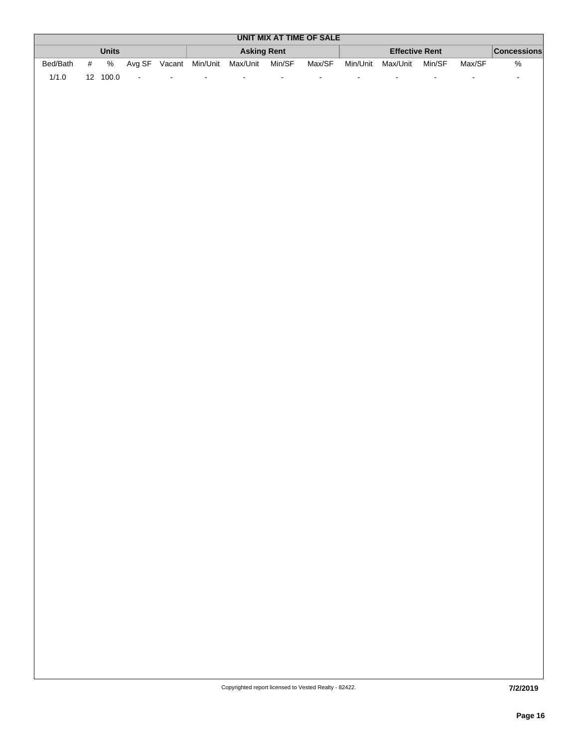| an an Suid<br><b>Effective Rent</b><br><b>Asking Rent Asking</b><br><b>Units</b><br># % Avg SF Vacant Min/Unit Max/Unit Min/SF<br>Max/SF<br>Min/Unit Max/Unit Min/SF<br>$\%$<br>Bed/Bath<br>Max/SF<br>1/1.0<br>12 100.0<br>$\mathcal{L}^{\mathcal{L}}$ and $\mathcal{L}^{\mathcal{L}}$ and $\mathcal{L}^{\mathcal{L}}$ and $\mathcal{L}^{\mathcal{L}}$<br>$\sim$<br>$\omega$<br>$\omega_{\rm{max}}$<br>$\mathcal{L}_{\mathcal{A}}$<br>$\omega_{\rm{max}}$<br>$\sim$<br>$\blacksquare$<br>$\blacksquare$<br>$\blacksquare$<br>Copyrighted report licensed to Vested Realty - 82422.<br>7/2/2019 |  |  |  |  | UNIT MIX AT TIME OF SALE |  |  |                    |
|------------------------------------------------------------------------------------------------------------------------------------------------------------------------------------------------------------------------------------------------------------------------------------------------------------------------------------------------------------------------------------------------------------------------------------------------------------------------------------------------------------------------------------------------------------------------------------------------|--|--|--|--|--------------------------|--|--|--------------------|
|                                                                                                                                                                                                                                                                                                                                                                                                                                                                                                                                                                                                |  |  |  |  |                          |  |  | <b>Concessions</b> |
|                                                                                                                                                                                                                                                                                                                                                                                                                                                                                                                                                                                                |  |  |  |  |                          |  |  |                    |
|                                                                                                                                                                                                                                                                                                                                                                                                                                                                                                                                                                                                |  |  |  |  |                          |  |  |                    |
|                                                                                                                                                                                                                                                                                                                                                                                                                                                                                                                                                                                                |  |  |  |  |                          |  |  |                    |
|                                                                                                                                                                                                                                                                                                                                                                                                                                                                                                                                                                                                |  |  |  |  |                          |  |  |                    |
|                                                                                                                                                                                                                                                                                                                                                                                                                                                                                                                                                                                                |  |  |  |  |                          |  |  |                    |
|                                                                                                                                                                                                                                                                                                                                                                                                                                                                                                                                                                                                |  |  |  |  |                          |  |  |                    |
|                                                                                                                                                                                                                                                                                                                                                                                                                                                                                                                                                                                                |  |  |  |  |                          |  |  |                    |
|                                                                                                                                                                                                                                                                                                                                                                                                                                                                                                                                                                                                |  |  |  |  |                          |  |  |                    |
|                                                                                                                                                                                                                                                                                                                                                                                                                                                                                                                                                                                                |  |  |  |  |                          |  |  |                    |
|                                                                                                                                                                                                                                                                                                                                                                                                                                                                                                                                                                                                |  |  |  |  |                          |  |  |                    |
|                                                                                                                                                                                                                                                                                                                                                                                                                                                                                                                                                                                                |  |  |  |  |                          |  |  |                    |
|                                                                                                                                                                                                                                                                                                                                                                                                                                                                                                                                                                                                |  |  |  |  |                          |  |  |                    |
|                                                                                                                                                                                                                                                                                                                                                                                                                                                                                                                                                                                                |  |  |  |  |                          |  |  |                    |
|                                                                                                                                                                                                                                                                                                                                                                                                                                                                                                                                                                                                |  |  |  |  |                          |  |  |                    |
|                                                                                                                                                                                                                                                                                                                                                                                                                                                                                                                                                                                                |  |  |  |  |                          |  |  |                    |
|                                                                                                                                                                                                                                                                                                                                                                                                                                                                                                                                                                                                |  |  |  |  |                          |  |  |                    |
|                                                                                                                                                                                                                                                                                                                                                                                                                                                                                                                                                                                                |  |  |  |  |                          |  |  |                    |
|                                                                                                                                                                                                                                                                                                                                                                                                                                                                                                                                                                                                |  |  |  |  |                          |  |  |                    |
|                                                                                                                                                                                                                                                                                                                                                                                                                                                                                                                                                                                                |  |  |  |  |                          |  |  |                    |
|                                                                                                                                                                                                                                                                                                                                                                                                                                                                                                                                                                                                |  |  |  |  |                          |  |  |                    |
|                                                                                                                                                                                                                                                                                                                                                                                                                                                                                                                                                                                                |  |  |  |  |                          |  |  |                    |
|                                                                                                                                                                                                                                                                                                                                                                                                                                                                                                                                                                                                |  |  |  |  |                          |  |  |                    |
|                                                                                                                                                                                                                                                                                                                                                                                                                                                                                                                                                                                                |  |  |  |  |                          |  |  |                    |
|                                                                                                                                                                                                                                                                                                                                                                                                                                                                                                                                                                                                |  |  |  |  |                          |  |  |                    |
|                                                                                                                                                                                                                                                                                                                                                                                                                                                                                                                                                                                                |  |  |  |  |                          |  |  |                    |
|                                                                                                                                                                                                                                                                                                                                                                                                                                                                                                                                                                                                |  |  |  |  |                          |  |  |                    |
|                                                                                                                                                                                                                                                                                                                                                                                                                                                                                                                                                                                                |  |  |  |  |                          |  |  |                    |
|                                                                                                                                                                                                                                                                                                                                                                                                                                                                                                                                                                                                |  |  |  |  |                          |  |  |                    |
|                                                                                                                                                                                                                                                                                                                                                                                                                                                                                                                                                                                                |  |  |  |  |                          |  |  |                    |
|                                                                                                                                                                                                                                                                                                                                                                                                                                                                                                                                                                                                |  |  |  |  |                          |  |  |                    |
|                                                                                                                                                                                                                                                                                                                                                                                                                                                                                                                                                                                                |  |  |  |  |                          |  |  |                    |
|                                                                                                                                                                                                                                                                                                                                                                                                                                                                                                                                                                                                |  |  |  |  |                          |  |  |                    |
|                                                                                                                                                                                                                                                                                                                                                                                                                                                                                                                                                                                                |  |  |  |  |                          |  |  |                    |
|                                                                                                                                                                                                                                                                                                                                                                                                                                                                                                                                                                                                |  |  |  |  |                          |  |  |                    |
|                                                                                                                                                                                                                                                                                                                                                                                                                                                                                                                                                                                                |  |  |  |  |                          |  |  |                    |
|                                                                                                                                                                                                                                                                                                                                                                                                                                                                                                                                                                                                |  |  |  |  |                          |  |  |                    |
|                                                                                                                                                                                                                                                                                                                                                                                                                                                                                                                                                                                                |  |  |  |  |                          |  |  |                    |
|                                                                                                                                                                                                                                                                                                                                                                                                                                                                                                                                                                                                |  |  |  |  |                          |  |  |                    |
|                                                                                                                                                                                                                                                                                                                                                                                                                                                                                                                                                                                                |  |  |  |  |                          |  |  |                    |
|                                                                                                                                                                                                                                                                                                                                                                                                                                                                                                                                                                                                |  |  |  |  |                          |  |  |                    |
|                                                                                                                                                                                                                                                                                                                                                                                                                                                                                                                                                                                                |  |  |  |  |                          |  |  |                    |
|                                                                                                                                                                                                                                                                                                                                                                                                                                                                                                                                                                                                |  |  |  |  |                          |  |  |                    |
|                                                                                                                                                                                                                                                                                                                                                                                                                                                                                                                                                                                                |  |  |  |  |                          |  |  |                    |
|                                                                                                                                                                                                                                                                                                                                                                                                                                                                                                                                                                                                |  |  |  |  |                          |  |  |                    |
|                                                                                                                                                                                                                                                                                                                                                                                                                                                                                                                                                                                                |  |  |  |  |                          |  |  |                    |
|                                                                                                                                                                                                                                                                                                                                                                                                                                                                                                                                                                                                |  |  |  |  |                          |  |  |                    |
|                                                                                                                                                                                                                                                                                                                                                                                                                                                                                                                                                                                                |  |  |  |  |                          |  |  |                    |
|                                                                                                                                                                                                                                                                                                                                                                                                                                                                                                                                                                                                |  |  |  |  |                          |  |  |                    |
|                                                                                                                                                                                                                                                                                                                                                                                                                                                                                                                                                                                                |  |  |  |  |                          |  |  |                    |
|                                                                                                                                                                                                                                                                                                                                                                                                                                                                                                                                                                                                |  |  |  |  |                          |  |  |                    |
|                                                                                                                                                                                                                                                                                                                                                                                                                                                                                                                                                                                                |  |  |  |  |                          |  |  |                    |
|                                                                                                                                                                                                                                                                                                                                                                                                                                                                                                                                                                                                |  |  |  |  |                          |  |  |                    |
|                                                                                                                                                                                                                                                                                                                                                                                                                                                                                                                                                                                                |  |  |  |  |                          |  |  |                    |
|                                                                                                                                                                                                                                                                                                                                                                                                                                                                                                                                                                                                |  |  |  |  |                          |  |  |                    |
|                                                                                                                                                                                                                                                                                                                                                                                                                                                                                                                                                                                                |  |  |  |  |                          |  |  |                    |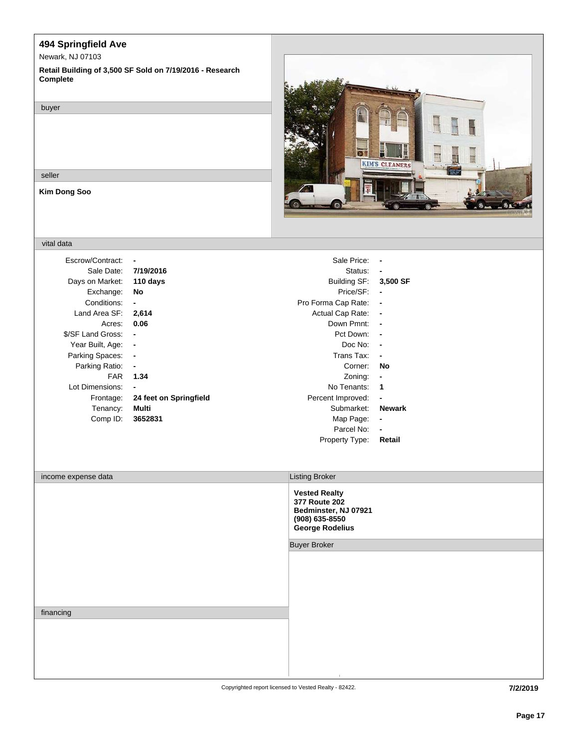Newark, NJ 07103

**Retail Building of 3,500 SF Sold on 7/19/2016 - Research Complete**



seller

buyer

**Kim Dong Soo**

# vital data

| Escrow/Contract:  | $\blacksquare$           | Sale Price:         |                              |
|-------------------|--------------------------|---------------------|------------------------------|
| Sale Date:        | 7/19/2016                | Status:             | $\blacksquare$               |
| Days on Market:   | 110 days                 | Building SF:        | 3,500 SF                     |
| Exchange:         | No                       | Price/SF:           | $\blacksquare$               |
| Conditions:       | $\blacksquare$           | Pro Forma Cap Rate: | $\blacksquare$               |
| Land Area SF:     | 2,614                    | Actual Cap Rate:    | $\blacksquare$               |
| Acres:            | 0.06                     | Down Pmnt:          |                              |
| \$/SF Land Gross: | ٠                        | Pct Down:           |                              |
| Year Built, Age:  | -                        | Doc No:             | $\blacksquare$               |
| Parking Spaces:   | -                        | Trans Tax:          | $\blacksquare$               |
| Parking Ratio:    |                          | Corner:             | No                           |
| <b>FAR</b>        | 1.34                     | Zoning:             | $\qquad \qquad \blacksquare$ |
| Lot Dimensions:   | $\overline{\phantom{a}}$ | No Tenants:         | 1                            |
| Frontage:         | 24 feet on Springfield   | Percent Improved:   | $\blacksquare$               |
| Tenancy:          | Multi                    | Submarket:          | <b>Newark</b>                |
| Comp ID:          | 3652831                  | Map Page:           | $\blacksquare$               |
|                   |                          | Parcel No:          | $\blacksquare$               |
|                   |                          | Property Type:      | Retail                       |
|                   |                          |                     |                              |

| income expense data | <b>Listing Broker</b>                                                                                     |
|---------------------|-----------------------------------------------------------------------------------------------------------|
|                     | <b>Vested Realty</b><br>377 Route 202<br>Bedminster, NJ 07921<br>(908) 635-8550<br><b>George Rodelius</b> |
|                     | <b>Buyer Broker</b>                                                                                       |
|                     |                                                                                                           |
|                     |                                                                                                           |
|                     |                                                                                                           |
| financing           |                                                                                                           |
|                     |                                                                                                           |
|                     |                                                                                                           |
|                     |                                                                                                           |
|                     | $\mathbb{R}^n$                                                                                            |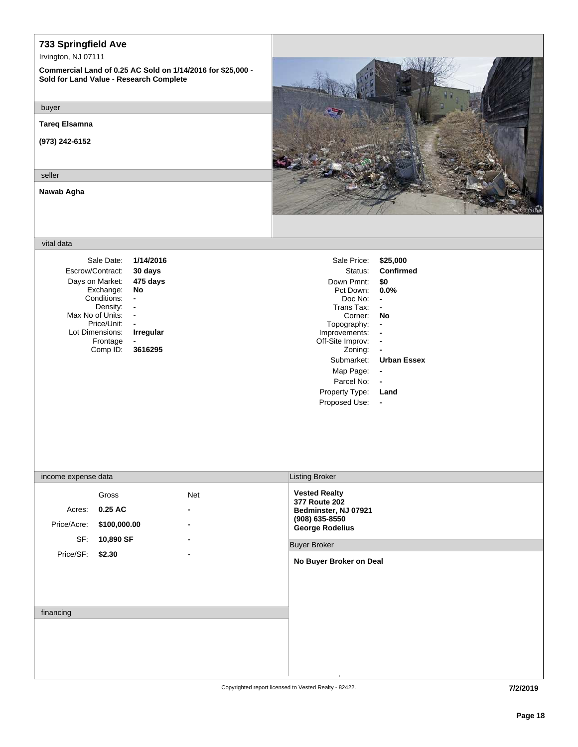Irvington, NJ 07111

**Commercial Land of 0.25 AC Sold on 1/14/2016 for \$25,000 - Sold for Land Value - Research Complete**

buyer

**Tareq Elsamna**

**(973) 242-6152**

seller

**Nawab Agha**



#### vital data Escrow/Contract: **30 days** Days on Market: **475 days** Exchange: **No** Conditions: **-** Lot Dimensions: **Irregular Frontage** Sale Date: **1/14/2016** Comp ID: **3616295** Sale Price: **\$25,000** Status: **Confirmed** Down Pmnt: **\$0** Pct Down: Doc No: **-** Trans Tax: **-** Corner: Zoning: **-** Topography: **-** Improvements: **-** Submarket: **Urban Essex** Property Type: **Land** Off-Site Improv: Proposed Use: **-** Max No of Units: Price/Unit: **-** Density: **-** Map Page: **-** Parcel No: **-**

| income expense data                    |                                                      |                                                                                       | <b>Listing Broker</b>                                                                                                                                       |
|----------------------------------------|------------------------------------------------------|---------------------------------------------------------------------------------------|-------------------------------------------------------------------------------------------------------------------------------------------------------------|
| Price/Acre:<br>SF.<br>Price/SF: \$2.30 | Gross<br>Acres: 0.25 AC<br>\$100,000.00<br>10,890 SF | Net<br>$\blacksquare$<br>$\blacksquare$<br>$\overline{\phantom{0}}$<br>$\blacksquare$ | <b>Vested Realty</b><br>377 Route 202<br>Bedminster, NJ 07921<br>(908) 635-8550<br><b>George Rodelius</b><br><b>Buyer Broker</b><br>No Buyer Broker on Deal |
| financing                              |                                                      |                                                                                       |                                                                                                                                                             |
|                                        |                                                      |                                                                                       |                                                                                                                                                             |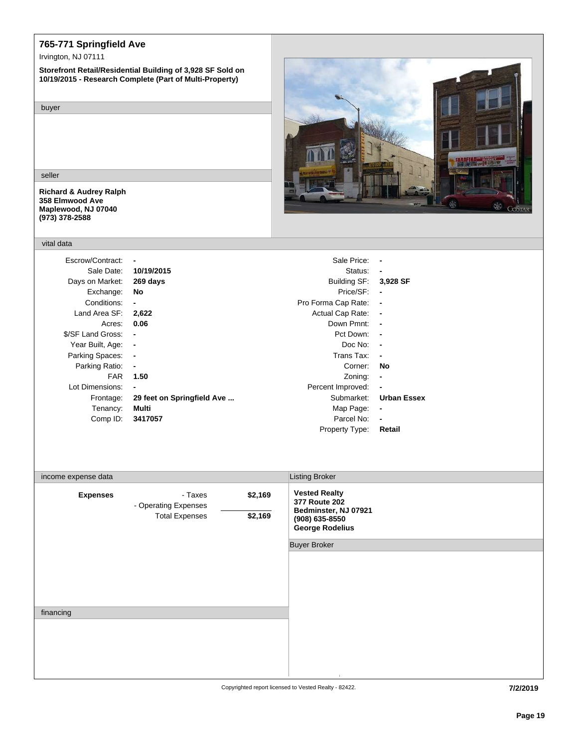# **765-771 Springfield Ave**

Irvington, NJ 07111

**Storefront Retail/Residential Building of 3,928 SF Sold on 10/19/2015 - Research Complete (Part of Multi-Property)**

buyer



seller

**Richard & Audrey Ralph 358 Elmwood Ave Maplewood, NJ 07040 (973) 378-2588**

#### vital data

| Escrow/Contract:  |                            | Sale Price:         |                    |  |
|-------------------|----------------------------|---------------------|--------------------|--|
| Sale Date:        | 10/19/2015                 | Status:             | $\blacksquare$     |  |
| Days on Market:   | 269 days                   | Building SF:        | 3,928 SF           |  |
| Exchange:         | No                         | Price/SF: -         |                    |  |
| Conditions:       | $\blacksquare$             | Pro Forma Cap Rate: |                    |  |
| Land Area SF:     | 2,622                      | Actual Cap Rate:    |                    |  |
| Acres:            | 0.06                       | Down Pmnt:          |                    |  |
| \$/SF Land Gross: | $\blacksquare$             | Pct Down:           |                    |  |
| Year Built, Age:  | $\overline{\phantom{a}}$   | Doc No:             | $\blacksquare$     |  |
| Parking Spaces:   | $\blacksquare$             | Trans Tax:          | $\blacksquare$     |  |
| Parking Ratio:    | $\overline{\phantom{a}}$   | Corner:             | No                 |  |
| <b>FAR</b>        | 1.50                       | Zoning:             | $\blacksquare$     |  |
| Lot Dimensions:   | $\blacksquare$             | Percent Improved:   | $\blacksquare$     |  |
| Frontage:         | 29 feet on Springfield Ave | Submarket:          | <b>Urban Essex</b> |  |
| Tenancy:          | Multi                      | Map Page:           | $\blacksquare$     |  |
| Comp ID:          | 3417057                    | Parcel No:          | $\blacksquare$     |  |
|                   |                            | Property Type:      | Retail             |  |
|                   |                            |                     |                    |  |

| income expense data |                                                          |                    | <b>Listing Broker</b>                                                                                     |
|---------------------|----------------------------------------------------------|--------------------|-----------------------------------------------------------------------------------------------------------|
| <b>Expenses</b>     | - Taxes<br>- Operating Expenses<br><b>Total Expenses</b> | \$2,169<br>\$2,169 | <b>Vested Realty</b><br>377 Route 202<br>Bedminster, NJ 07921<br>(908) 635-8550<br><b>George Rodelius</b> |
|                     |                                                          |                    | <b>Buyer Broker</b>                                                                                       |
|                     |                                                          |                    |                                                                                                           |
|                     |                                                          |                    |                                                                                                           |
|                     |                                                          |                    |                                                                                                           |
|                     |                                                          |                    |                                                                                                           |
| financing           |                                                          |                    |                                                                                                           |
|                     |                                                          |                    |                                                                                                           |
|                     |                                                          |                    |                                                                                                           |
|                     |                                                          |                    |                                                                                                           |
|                     |                                                          |                    | $\mathbb{R}^n$                                                                                            |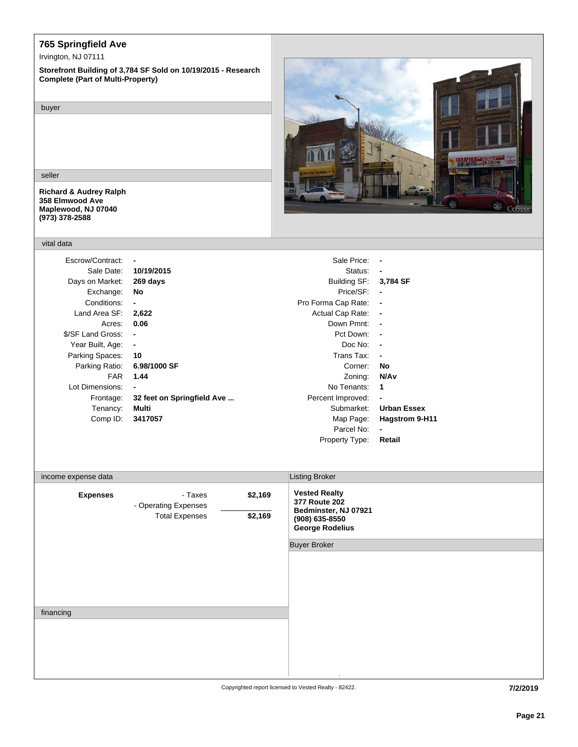Irvington, NJ 07111

**Storefront Building of 3,784 SF Sold on 10/19/2015 - Research Complete (Part of Multi-Property)**

buyer



seller

**Richard & Audrey Ralph 358 Elmwood Ave Maplewood, NJ 07040 (973) 378-2588**

### vital data

| Escrow/Contract:  |                            | Sale Price:         |                              |
|-------------------|----------------------------|---------------------|------------------------------|
| Sale Date:        | 10/19/2015                 | Status:             | $\overline{\phantom{0}}$     |
| Days on Market:   | 269 days                   | Building SF:        | 3,784 SF                     |
| Exchange:         | No                         | Price/SF:           | $\blacksquare$               |
| Conditions:       |                            | Pro Forma Cap Rate: | $\qquad \qquad \blacksquare$ |
| Land Area SF:     | 2,622                      | Actual Cap Rate:    | $\qquad \qquad \blacksquare$ |
| Acres:            | 0.06                       | Down Pmnt:          | $\blacksquare$               |
| \$/SF Land Gross: | $\blacksquare$             | Pct Down:           | $\blacksquare$               |
| Year Built, Age:  | $\blacksquare$             | Doc No:             | $\blacksquare$               |
| Parking Spaces:   | 10                         | Trans Tax:          | $\blacksquare$               |
| Parking Ratio:    | 6.98/1000 SF               | Corner:             | No                           |
| <b>FAR</b>        | 1.44                       | Zoning:             | N/A <sub>v</sub>             |
| Lot Dimensions:   | ٠                          | No Tenants:         | 1                            |
| Frontage:         | 32 feet on Springfield Ave | Percent Improved:   | $\overline{\phantom{a}}$     |
| Tenancy:          | Multi                      | Submarket:          | <b>Urban Essex</b>           |
| Comp ID:          | 3417057                    | Map Page:           | <b>Hagstrom 9-H11</b>        |
|                   |                            | Parcel No:          | $\blacksquare$               |
|                   |                            | Property Type:      | Retail                       |
|                   |                            |                     |                              |

| income expense data |                                                          |                    | <b>Listing Broker</b>                                                                                     |
|---------------------|----------------------------------------------------------|--------------------|-----------------------------------------------------------------------------------------------------------|
| <b>Expenses</b>     | - Taxes<br>- Operating Expenses<br><b>Total Expenses</b> | \$2,169<br>\$2,169 | <b>Vested Realty</b><br>377 Route 202<br>Bedminster, NJ 07921<br>(908) 635-8550<br><b>George Rodelius</b> |
|                     |                                                          |                    | <b>Buyer Broker</b>                                                                                       |
|                     |                                                          |                    |                                                                                                           |
| financing           |                                                          |                    |                                                                                                           |
|                     |                                                          |                    | <b>COLLEGE</b>                                                                                            |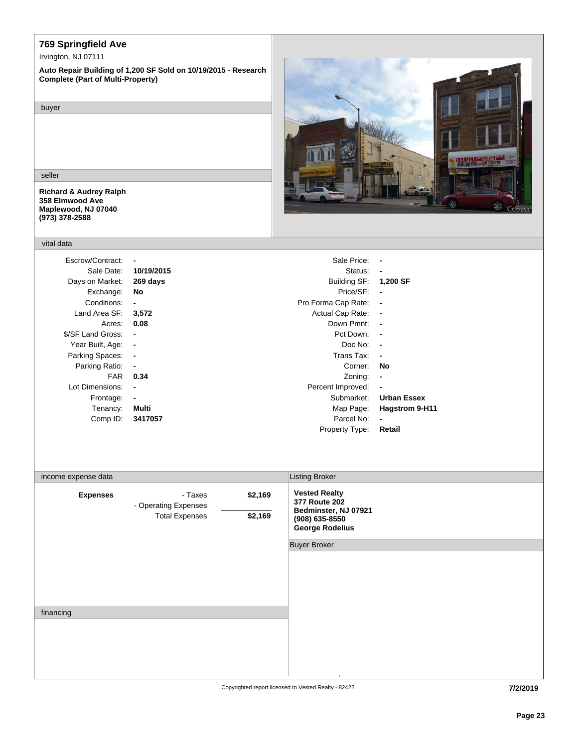Irvington, NJ 07111

**Auto Repair Building of 1,200 SF Sold on 10/19/2015 - Research Complete (Part of Multi-Property)**

buyer



seller

**Richard & Audrey Ralph 358 Elmwood Ave Maplewood, NJ 07040 (973) 378-2588**

### vital data

| Escrow/Contract:  | $\blacksquare$           | Sale Price:         | $\blacksquare$               |
|-------------------|--------------------------|---------------------|------------------------------|
| Sale Date:        | 10/19/2015               | Status:             | $\blacksquare$               |
| Days on Market:   | 269 days                 | Building SF:        | 1,200 SF                     |
| Exchange:         | No                       | Price/SF:           | $\blacksquare$               |
| Conditions:       | $\overline{\phantom{a}}$ | Pro Forma Cap Rate: | $\qquad \qquad \blacksquare$ |
| Land Area SF:     | 3,572                    | Actual Cap Rate:    | $\blacksquare$               |
| Acres:            | 0.08                     | Down Pmnt:          | $\blacksquare$               |
| \$/SF Land Gross: | $\overline{\phantom{a}}$ | Pct Down:           | $\blacksquare$               |
| Year Built, Age:  | $\blacksquare$           | Doc No:             | $\overline{\phantom{a}}$     |
| Parking Spaces:   | $\blacksquare$           | Trans Tax:          | $\overline{\phantom{a}}$     |
| Parking Ratio:    | $\blacksquare$           | Corner:             | No                           |
| <b>FAR</b>        | 0.34                     | Zoning:             | $\blacksquare$               |
| Lot Dimensions:   | $\overline{\phantom{a}}$ | Percent Improved:   | $\qquad \qquad \blacksquare$ |
| Frontage:         | $\blacksquare$           | Submarket:          | <b>Urban Essex</b>           |
| Tenancy:          | Multi                    | Map Page:           | Hagstrom 9-H11               |
| Comp ID:          | 3417057                  | Parcel No:          | $\qquad \qquad \blacksquare$ |
|                   |                          | Property Type:      | Retail                       |
|                   |                          |                     |                              |

| income expense data |                                                          |                    | <b>Listing Broker</b>                                                                                     |
|---------------------|----------------------------------------------------------|--------------------|-----------------------------------------------------------------------------------------------------------|
| <b>Expenses</b>     | - Taxes<br>- Operating Expenses<br><b>Total Expenses</b> | \$2,169<br>\$2,169 | <b>Vested Realty</b><br>377 Route 202<br>Bedminster, NJ 07921<br>(908) 635-8550<br><b>George Rodelius</b> |
|                     |                                                          |                    | <b>Buyer Broker</b>                                                                                       |
|                     |                                                          |                    |                                                                                                           |
| financing           |                                                          |                    |                                                                                                           |
|                     |                                                          |                    | $\mathbb{R}^n$                                                                                            |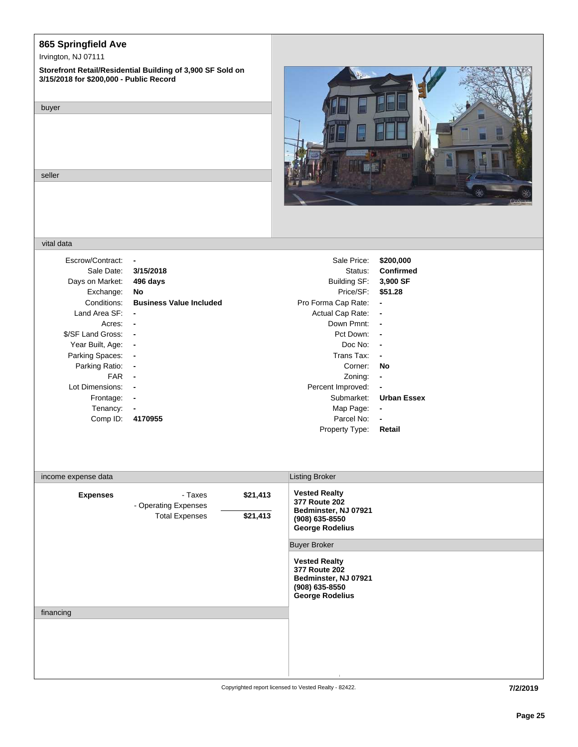Irvington, NJ 07111

**Storefront Retail/Residential Building of 3,900 SF Sold on 3/15/2018 for \$200,000 - Public Record**



| vital data |
|------------|
|            |

buyer

seller

| Escrow/Contract:<br>Sale Date:<br>Days on Market:<br>Exchange: | $\overline{\phantom{a}}$<br>3/15/2018<br>496 days<br>No | Sale Price:<br>Status:<br>Building SF:<br>Price/SF: | \$200,000<br>Confirmed<br>3,900 SF<br>\$51.28 |
|----------------------------------------------------------------|---------------------------------------------------------|-----------------------------------------------------|-----------------------------------------------|
| Conditions:                                                    | <b>Business Value Included</b>                          | Pro Forma Cap Rate:                                 | -                                             |
| Land Area SF:                                                  | $\blacksquare$                                          | Actual Cap Rate:                                    | $\blacksquare$                                |
| Acres:                                                         | $\overline{\phantom{a}}$                                | Down Pmnt:                                          | $\blacksquare$                                |
| \$/SF Land Gross:                                              | $\overline{\phantom{a}}$                                | Pct Down:                                           | $\blacksquare$                                |
| Year Built, Age:                                               | $\blacksquare$                                          | Doc No:                                             | $\blacksquare$                                |
| Parking Spaces:                                                | $\blacksquare$                                          | Trans Tax:                                          | $\blacksquare$                                |
| Parking Ratio:                                                 | $\overline{\phantom{a}}$                                | Corner:                                             | No                                            |
| <b>FAR</b>                                                     | $\blacksquare$                                          | Zoning:                                             | $\qquad \qquad \blacksquare$                  |
| Lot Dimensions:                                                | $\blacksquare$                                          | Percent Improved:                                   | $\qquad \qquad \blacksquare$                  |
| Frontage:                                                      | $\blacksquare$                                          | Submarket:                                          | <b>Urban Essex</b>                            |
| Tenancy:                                                       | $\blacksquare$                                          | Map Page:                                           | $\qquad \qquad \blacksquare$                  |
| Comp ID:                                                       | 4170955                                                 | Parcel No:                                          | $\blacksquare$                                |
|                                                                |                                                         | Property Type:                                      | Retail                                        |

| income expense data |                                                          |                      | <b>Listing Broker</b>                                                                                                            |
|---------------------|----------------------------------------------------------|----------------------|----------------------------------------------------------------------------------------------------------------------------------|
| <b>Expenses</b>     | - Taxes<br>- Operating Expenses<br><b>Total Expenses</b> | \$21,413<br>\$21,413 | <b>Vested Realty</b><br>377 Route 202<br>Bedminster, NJ 07921<br>(908) 635-8550<br><b>George Rodelius</b><br><b>Buyer Broker</b> |
|                     |                                                          |                      | <b>Vested Realty</b><br>377 Route 202<br>Bedminster, NJ 07921<br>(908) 635-8550<br><b>George Rodelius</b>                        |
| financing           |                                                          |                      |                                                                                                                                  |
|                     |                                                          |                      |                                                                                                                                  |
|                     |                                                          |                      |                                                                                                                                  |
|                     |                                                          |                      |                                                                                                                                  |
|                     |                                                          |                      |                                                                                                                                  |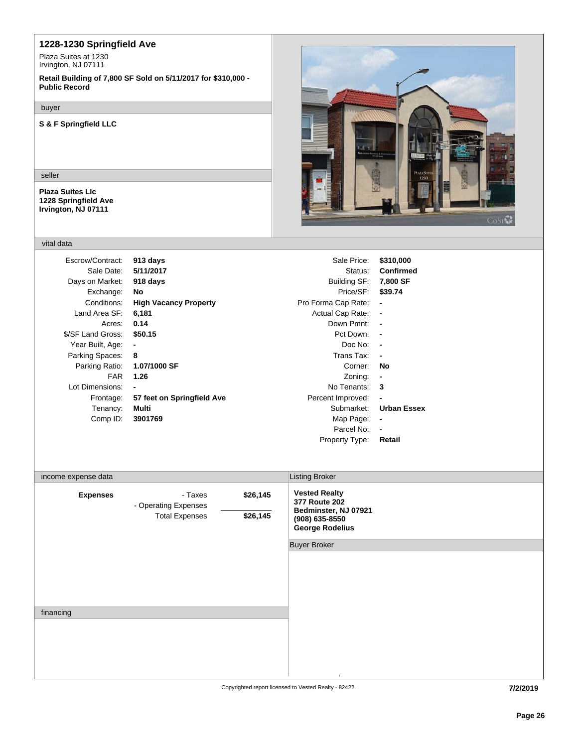# **1228-1230 Springfield Ave**

Plaza Suites at 1230 Irvington, NJ 07111

**Retail Building of 7,800 SF Sold on 5/11/2017 for \$310,000 - Public Record**

### buyer

### **S & F Springfield LLC**

seller

**Plaza Suites Llc 1228 Springfield Ave Irvington, NJ 07111**

#### vital data



| Escrow/Contract:  |                              | Sale Price:         | \$310,000                    |
|-------------------|------------------------------|---------------------|------------------------------|
|                   | 913 days                     |                     |                              |
| Sale Date:        | 5/11/2017                    | Status:             | <b>Confirmed</b>             |
| Days on Market:   | 918 days                     | Building SF:        | 7,800 SF                     |
| Exchange:         | No                           | Price/SF:           | \$39.74                      |
| Conditions:       | <b>High Vacancy Property</b> | Pro Forma Cap Rate: | $\qquad \qquad \blacksquare$ |
| Land Area SF:     | 6,181                        | Actual Cap Rate:    | $\overline{\phantom{a}}$     |
| Acres:            | 0.14                         | Down Pmnt:          | $\overline{\phantom{a}}$     |
| \$/SF Land Gross: | \$50.15                      | Pct Down:           | $\blacksquare$               |
| Year Built, Age:  | $\blacksquare$               | Doc No:             | $\blacksquare$               |
| Parking Spaces:   | 8                            | Trans Tax:          | $\blacksquare$               |
| Parking Ratio:    | 1.07/1000 SF                 | Corner:             | No                           |
| <b>FAR</b>        | 1.26                         | Zoning:             | -                            |
| Lot Dimensions:   | $\blacksquare$               | No Tenants:         | 3                            |
| Frontage:         | 57 feet on Springfield Ave   | Percent Improved:   | $\qquad \qquad \blacksquare$ |
| Tenancy:          | Multi                        | Submarket:          | <b>Urban Essex</b>           |
| Comp ID:          | 3901769                      | Map Page:           | $\blacksquare$               |
|                   |                              | Parcel No:          | $\blacksquare$               |
|                   |                              | Property Type:      | Retail                       |

#### income expense data

| income expense data |                                                          |                      | <b>Listing Broker</b>                                                                                     |
|---------------------|----------------------------------------------------------|----------------------|-----------------------------------------------------------------------------------------------------------|
| <b>Expenses</b>     | - Taxes<br>- Operating Expenses<br><b>Total Expenses</b> | \$26,145<br>\$26,145 | <b>Vested Realty</b><br>377 Route 202<br>Bedminster, NJ 07921<br>(908) 635-8550<br><b>George Rodelius</b> |
|                     |                                                          |                      | <b>Buyer Broker</b>                                                                                       |
|                     |                                                          |                      |                                                                                                           |
| financing           |                                                          |                      |                                                                                                           |
|                     |                                                          |                      | л.                                                                                                        |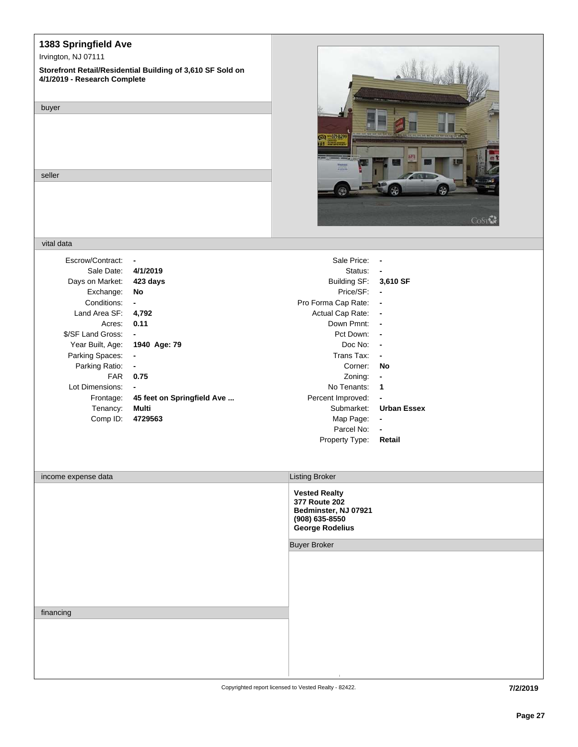Irvington, NJ 07111

buyer

seller

vital data

**Storefront Retail/Residential Building of 3,610 SF Sold on 4/1/2019 - Research Complete**



|                        | Escrow/Contract:  |
|------------------------|-------------------|
| 4/1/2019               | Sale Date:        |
| 423 days               | Days on Market:   |
| No                     | Exchange:         |
|                        | Conditions:       |
| 4,792                  | Land Area SF:     |
| 0.11                   | Acres:            |
|                        | \$/SF Land Gross: |
| 1940 Age: 79           | Year Built, Age:  |
|                        | Parking Spaces:   |
|                        | Parking Ratio:    |
| 0.75                   | FAR               |
|                        | Lot Dimensions:   |
| 45 feet on Springfield | Frontage:         |
| Multi                  | Tenancy:          |

Comp ID: **4729563**

|     | Sale Price:             |                    |
|-----|-------------------------|--------------------|
|     | Status:                 |                    |
|     | Building $SF: 3,610 SF$ |                    |
|     | Price/SF:               |                    |
|     | Pro Forma Cap Rate:     | $\blacksquare$     |
|     | Actual Cap Rate:        | $\blacksquare$     |
|     | Down Pmnt:              |                    |
|     | Pct Down:               |                    |
|     | Doc No:                 |                    |
|     | Trans Tax:              |                    |
|     | Corner:                 | No                 |
|     | Zoning:                 |                    |
|     | No Tenants:             | 1                  |
| Ave | Percent Improved:       | $\blacksquare$     |
|     | Submarket:              | <b>Urban Essex</b> |
|     | Map Page:               |                    |
|     | Parcel No:              |                    |
|     | Property Type:          | Retail             |

| income expense data | <b>Listing Broker</b>                                                                                     |
|---------------------|-----------------------------------------------------------------------------------------------------------|
|                     | <b>Vested Realty</b><br>377 Route 202<br>Bedminster, NJ 07921<br>(908) 635-8550<br><b>George Rodelius</b> |
|                     | <b>Buyer Broker</b>                                                                                       |
|                     |                                                                                                           |
|                     |                                                                                                           |
|                     |                                                                                                           |
|                     |                                                                                                           |
| financing           |                                                                                                           |
|                     |                                                                                                           |
|                     |                                                                                                           |
|                     |                                                                                                           |
|                     | $\pm$                                                                                                     |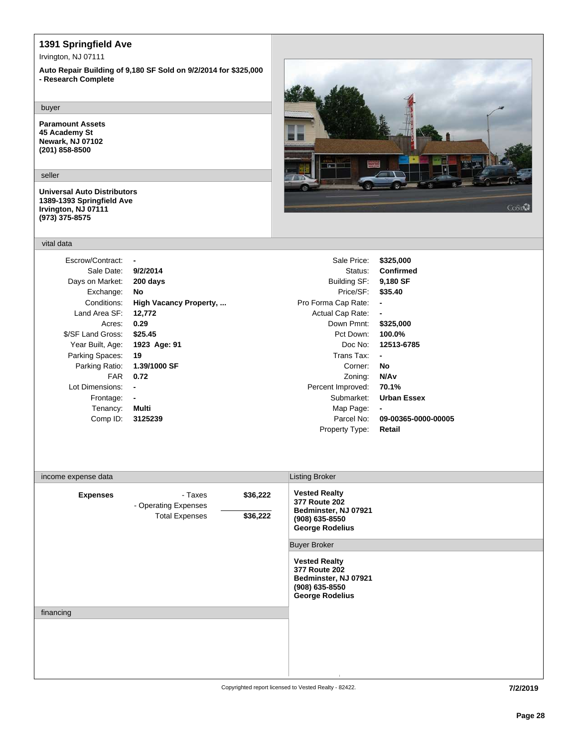Irvington, NJ 07111

**Auto Repair Building of 9,180 SF Sold on 9/2/2014 for \$325,000 - Research Complete**

### buyer

**Paramount Assets 45 Academy St Newark, NJ 07102 (201) 858-8500**

### seller

**Universal Auto Distributors 1389-1393 Springfield Ave Irvington, NJ 07111 (973) 375-8575**



#### vital data

| Escrow/Contract:  |                                | Sale Price:         | \$325,000           |
|-------------------|--------------------------------|---------------------|---------------------|
| Sale Date:        | 9/2/2014                       | Status:             | <b>Confirmed</b>    |
| Days on Market:   | 200 days                       | Building SF:        | 9,180 SF            |
| Exchange:         | No                             | Price/SF:           | \$35.40             |
| Conditions:       | <b>High Vacancy Property, </b> | Pro Forma Cap Rate: | $\blacksquare$      |
| Land Area SF:     | 12,772                         | Actual Cap Rate:    | $\blacksquare$      |
| Acres:            | 0.29                           | Down Pmnt:          | \$325,000           |
| \$/SF Land Gross: | \$25.45                        | Pct Down:           | 100.0%              |
| Year Built, Age:  | 1923 Age: 91                   | Doc No:             | 12513-6785          |
| Parking Spaces:   | 19                             | Trans Tax:          | $\blacksquare$      |
| Parking Ratio:    | 1.39/1000 SF                   | Corner:             | No                  |
| <b>FAR</b>        | 0.72                           | Zoning:             | N/A <sub>v</sub>    |
| Lot Dimensions:   | $\blacksquare$                 | Percent Improved:   | 70.1%               |
| Frontage:         | $\blacksquare$                 | Submarket:          | <b>Urban Essex</b>  |
| Tenancy:          | Multi                          | Map Page:           | $\blacksquare$      |
| Comp ID:          | 3125239                        | Parcel No:          | 09-00365-0000-00005 |
|                   |                                | Property Type:      | Retail              |

| income expense data |                                                          |                      | <b>Listing Broker</b>                                                                                                            |
|---------------------|----------------------------------------------------------|----------------------|----------------------------------------------------------------------------------------------------------------------------------|
| <b>Expenses</b>     | - Taxes<br>- Operating Expenses<br><b>Total Expenses</b> | \$36,222<br>\$36,222 | <b>Vested Realty</b><br>377 Route 202<br>Bedminster, NJ 07921<br>(908) 635-8550<br><b>George Rodelius</b><br><b>Buyer Broker</b> |
|                     |                                                          |                      | <b>Vested Realty</b><br>377 Route 202<br>Bedminster, NJ 07921<br>(908) 635-8550<br><b>George Rodelius</b>                        |
| financing           |                                                          |                      |                                                                                                                                  |
|                     |                                                          |                      | H.                                                                                                                               |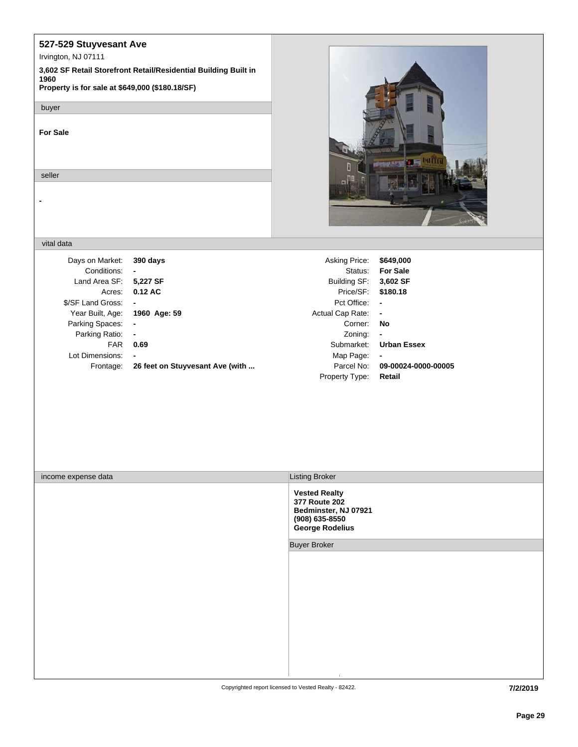### **527-529 Stuyvesant Ave**

Irvington, NJ 07111

**3,602 SF Retail Storefront Retail/Residential Building Built in 1960**

**Property is for sale at \$649,000 (\$180.18/SF)**

buyer

**For Sale**

seller



#### vital data

**-**

| 390  | Days on Market:   |
|------|-------------------|
|      | Conditions:       |
| 5,22 | Land Area SF:     |
| 0.12 | Acres:            |
|      | \$/SF Land Gross: |
| 1960 | Year Built, Age:  |
|      | Parking Spaces:   |
|      | Parking Ratio:    |
| 0.69 | FAR               |
|      | Lot Dimensions:   |
| 26 f | Frontage:         |
|      |                   |

days Land Area SF: **5,227 SF** Acres: **0.12 AC** 0 Age: 59 eet on Stuyvesant Ave (with ...



| income expense data | <b>Listing Broker</b>                                                                              |
|---------------------|----------------------------------------------------------------------------------------------------|
|                     | <b>Vested Realty</b><br>377 Route 202<br>Bedminster, NJ 07921<br>(908) 635-8550<br>George Rodelius |
|                     | <b>Buyer Broker</b>                                                                                |
|                     |                                                                                                    |
|                     |                                                                                                    |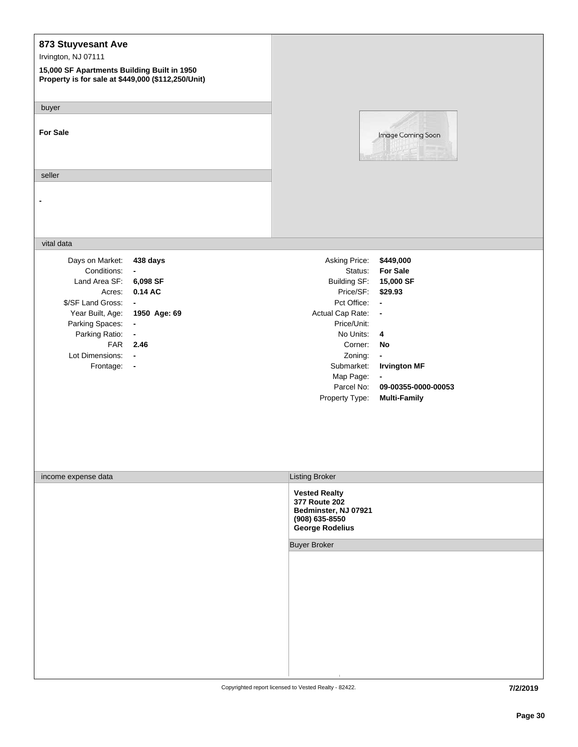| 873 Stuyvesant Ave<br>Irvington, NJ 07111<br>15,000 SF Apartments Building Built in 1950<br>Property is for sale at \$449,000 (\$112,250/Unit)<br>buyer<br><b>For Sale</b><br>seller<br>$\overline{\phantom{a}}$ |                                                                                                                                                                               |                                                                                                                                                          | Image Coming Soon                                                                                                                                             |
|------------------------------------------------------------------------------------------------------------------------------------------------------------------------------------------------------------------|-------------------------------------------------------------------------------------------------------------------------------------------------------------------------------|----------------------------------------------------------------------------------------------------------------------------------------------------------|---------------------------------------------------------------------------------------------------------------------------------------------------------------|
| vital data<br>Days on Market:<br>Conditions:<br>Land Area SF:<br>Acres:<br>\$/SF Land Gross:<br>Year Built, Age:<br>Parking Spaces:<br>Parking Ratio:<br>FAR<br>Lot Dimensions:<br>Frontage:                     | 438 days<br>$\blacksquare$<br>6,098 SF<br>0.14 AC<br>$\blacksquare$<br>1950 Age: 69<br>$\blacksquare$<br>$\blacksquare$<br>2.46<br>$\blacksquare$<br>$\overline{\phantom{a}}$ | Asking Price:<br>Status:<br>Building SF:<br>Price/SF:<br>Pct Office:<br>Actual Cap Rate:<br>Price/Unit:<br>No Units:<br>Corner:<br>Zoning:<br>Submarket: | \$449,000<br><b>For Sale</b><br>15,000 SF<br>\$29.93<br>$\blacksquare$<br>$\sim$<br>$\boldsymbol{4}$<br>No<br>$\overline{\phantom{a}}$<br><b>Irvington MF</b> |
|                                                                                                                                                                                                                  |                                                                                                                                                                               | Map Page:<br>Parcel No:<br>Property Type:                                                                                                                | $\overline{\phantom{a}}$<br>09-00355-0000-00053<br><b>Multi-Family</b>                                                                                        |
| income expense data                                                                                                                                                                                              |                                                                                                                                                                               | <b>Listing Broker</b><br><b>Vested Realty</b>                                                                                                            |                                                                                                                                                               |
|                                                                                                                                                                                                                  |                                                                                                                                                                               | 377 Route 202<br>Bedminster, NJ 07921<br>(908) 635-8550<br>George Rodelius<br><b>Buyer Broker</b>                                                        |                                                                                                                                                               |